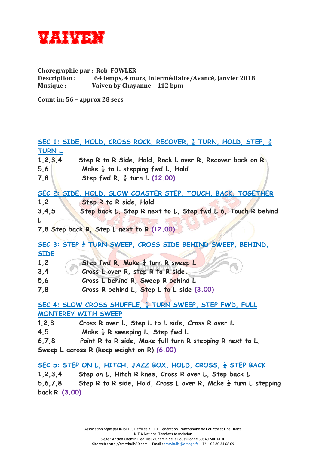

**Choregraphie par : Rob FOWLER Description : 64 temps, 4 murs, Intermédiaire/Avancé, Janvier 2018 Musique : Vaiven by Chayanne – 112 bpm**

\_\_\_\_\_\_\_\_\_\_\_\_\_\_\_\_\_\_\_\_\_\_\_\_\_\_\_\_\_\_\_\_\_\_\_\_\_\_\_\_\_\_\_\_\_\_\_\_\_\_\_\_\_\_\_\_\_\_\_\_\_\_\_\_\_\_\_\_\_\_\_\_\_\_\_\_\_\_\_\_\_\_\_\_\_\_

\_\_\_\_\_\_\_\_\_\_\_\_\_\_\_\_\_\_\_\_\_\_\_\_\_\_\_\_\_\_\_\_\_\_\_\_\_\_\_\_\_\_\_\_\_\_\_\_\_\_\_\_\_\_\_\_\_\_\_\_\_\_\_\_\_\_\_\_\_\_\_\_\_\_\_\_\_\_\_\_\_\_\_\_\_\_

**Count in: 56 – approx 28 secs**

**SEC 1: SIDE, HOLD, CROSS ROCK, RECOVER, ¼ TURN, HOLD, STEP, ¾ TURN L 1,2,3,4 Step R to R Side, Hold, Rock L over R, Recover back on R 5,6 Make ¼ to L stepping fwd L, Hold 7,8 Step fwd R, ¾ turn L (12.00) SEC 2: SIDE, HOLD, SLOW COASTER STEP, TOUCH, BACK, TOGETHER 1,2 Step R to R side, Hold 3,4,5 Step back L, Step R next to L, Step fwd L 6, Touch R behind L 7,8 Step back R, Step L next to R (12.00) SEC 3: STEP ¼ TURN SWEEP, CROSS SIDE BEHIND SWEEP, BEHIND, SIDE** 1.2 **Step fwd R, Make**  $\frac{1}{4}$  **turn R sweep L 3,4 Cross L over R, step R to R side, 5,6 Cross L behind R, Sweep R behind L 7,8 Cross R behind L, Step L to L side (3.00) SEC 4: SLOW CROSS SHUFFLE, ¼ TURN SWEEP, STEP FWD, FULL MONTEREY WITH SWEEP** 1**,2,3 Cross R over L, Step L to L side, Cross R over L 4,5 Make ¼ R sweeping L, Step fwd L 6,7,8 Point R to R side, Make full turn R stepping R next to L, Sweep L across R (keep weight on R) (6.00) SEC 5: STEP ON L, HITCH, JAZZ BOX, HOLD, CROSS, ¼ STEP BACK 1,2,3,4 Step on L, Hitch R knee, Cross R over L, Step back L 5,6,7,8 Step R to R side, Hold, Cross L over R, Make ¼ turn L stepping**